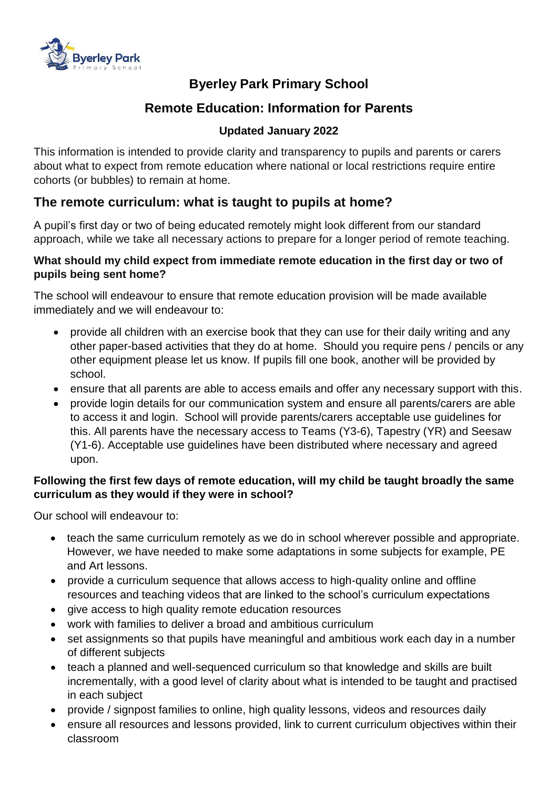

# **Byerley Park Primary School**

# **Remote Education: Information for Parents**

## **Updated January 2022**

This information is intended to provide clarity and transparency to pupils and parents or carers about what to expect from remote education where national or local restrictions require entire cohorts (or bubbles) to remain at home.

## **The remote curriculum: what is taught to pupils at home?**

A pupil's first day or two of being educated remotely might look different from our standard approach, while we take all necessary actions to prepare for a longer period of remote teaching.

#### **What should my child expect from immediate remote education in the first day or two of pupils being sent home?**

The school will endeavour to ensure that remote education provision will be made available immediately and we will endeavour to:

- provide all children with an exercise book that they can use for their daily writing and any other paper-based activities that they do at home. Should you require pens / pencils or any other equipment please let us know. If pupils fill one book, another will be provided by school.
- ensure that all parents are able to access emails and offer any necessary support with this.
- provide login details for our communication system and ensure all parents/carers are able to access it and login. School will provide parents/carers acceptable use guidelines for this. All parents have the necessary access to Teams (Y3-6), Tapestry (YR) and Seesaw (Y1-6). Acceptable use guidelines have been distributed where necessary and agreed upon.

#### **Following the first few days of remote education, will my child be taught broadly the same curriculum as they would if they were in school?**

Our school will endeavour to:

- teach the same curriculum remotely as we do in school wherever possible and appropriate. However, we have needed to make some adaptations in some subjects for example, PE and Art lessons.
- provide a curriculum sequence that allows access to high-quality online and offline resources and teaching videos that are linked to the school's curriculum expectations
- give access to high quality remote education resources
- work with families to deliver a broad and ambitious curriculum
- set assignments so that pupils have meaningful and ambitious work each day in a number of different subjects
- teach a planned and well-sequenced curriculum so that knowledge and skills are built incrementally, with a good level of clarity about what is intended to be taught and practised in each subject
- provide / signpost families to online, high quality lessons, videos and resources daily
- ensure all resources and lessons provided, link to current curriculum objectives within their classroom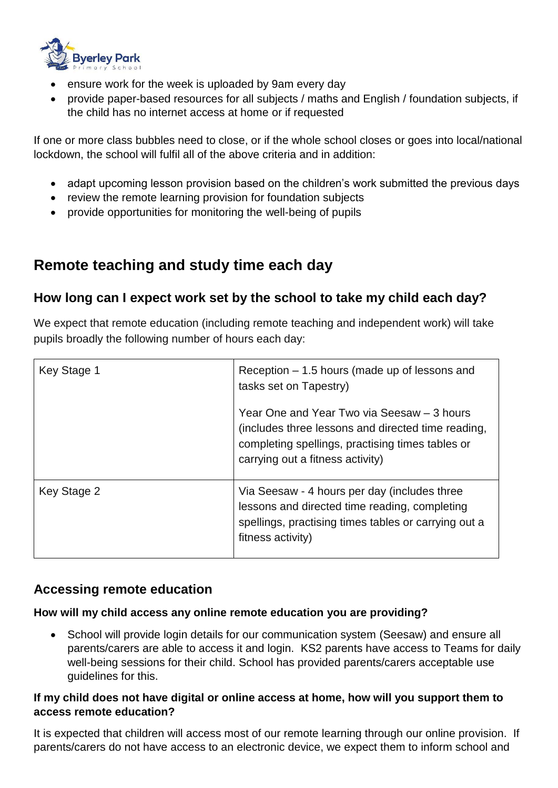

- ensure work for the week is uploaded by 9am every day
- provide paper-based resources for all subjects / maths and English / foundation subjects, if the child has no internet access at home or if requested

If one or more class bubbles need to close, or if the whole school closes or goes into local/national lockdown, the school will fulfil all of the above criteria and in addition:

- adapt upcoming lesson provision based on the children's work submitted the previous days
- review the remote learning provision for foundation subjects
- provide opportunities for monitoring the well-being of pupils

# **Remote teaching and study time each day**

## **How long can I expect work set by the school to take my child each day?**

We expect that remote education (including remote teaching and independent work) will take pupils broadly the following number of hours each day:

| Key Stage 1 | Reception $-1.5$ hours (made up of lessons and<br>tasks set on Tapestry)                                                                                                                 |
|-------------|------------------------------------------------------------------------------------------------------------------------------------------------------------------------------------------|
|             | Year One and Year Two via Seesaw - 3 hours<br>(includes three lessons and directed time reading,<br>completing spellings, practising times tables or<br>carrying out a fitness activity) |
| Key Stage 2 | Via Seesaw - 4 hours per day (includes three<br>lessons and directed time reading, completing<br>spellings, practising times tables or carrying out a<br>fitness activity)               |

### **Accessing remote education**

#### **How will my child access any online remote education you are providing?**

• School will provide login details for our communication system (Seesaw) and ensure all parents/carers are able to access it and login. KS2 parents have access to Teams for daily well-being sessions for their child. School has provided parents/carers acceptable use guidelines for this.

#### **If my child does not have digital or online access at home, how will you support them to access remote education?**

It is expected that children will access most of our remote learning through our online provision. If parents/carers do not have access to an electronic device, we expect them to inform school and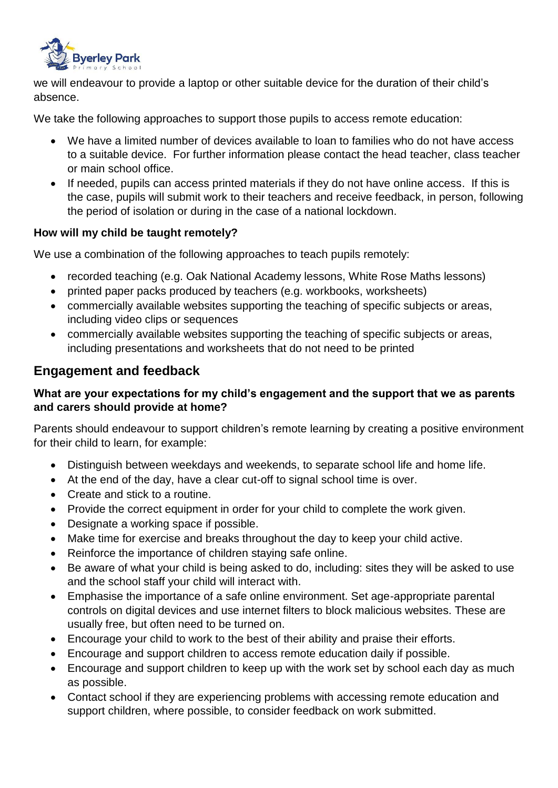

we will endeavour to provide a laptop or other suitable device for the duration of their child's absence.

We take the following approaches to support those pupils to access remote education:

- We have a limited number of devices available to loan to families who do not have access to a suitable device. For further information please contact the head teacher, class teacher or main school office.
- If needed, pupils can access printed materials if they do not have online access. If this is the case, pupils will submit work to their teachers and receive feedback, in person, following the period of isolation or during in the case of a national lockdown.

#### **How will my child be taught remotely?**

We use a combination of the following approaches to teach pupils remotely:

- recorded teaching (e.g. Oak National Academy lessons, White Rose Maths lessons)
- printed paper packs produced by teachers (e.g. workbooks, worksheets)
- commercially available websites supporting the teaching of specific subjects or areas, including video clips or sequences
- commercially available websites supporting the teaching of specific subjects or areas, including presentations and worksheets that do not need to be printed

## **Engagement and feedback**

#### **What are your expectations for my child's engagement and the support that we as parents and carers should provide at home?**

Parents should endeavour to support children's remote learning by creating a positive environment for their child to learn, for example:

- Distinguish between weekdays and weekends, to separate school life and home life.
- At the end of the day, have a clear cut-off to signal school time is over.
- Create and stick to a routine.
- Provide the correct equipment in order for your child to complete the work given.
- Designate a working space if possible.
- Make time for exercise and breaks throughout the day to keep your child active.
- Reinforce the importance of children staying safe online.
- Be aware of what your child is being asked to do, including: sites they will be asked to use and the school staff your child will interact with.
- Emphasise the importance of a safe online environment. Set age-appropriate parental controls on digital devices and use internet filters to block malicious websites. These are usually free, but often need to be turned on.
- Encourage your child to work to the best of their ability and praise their efforts.
- Encourage and support children to access remote education daily if possible.
- Encourage and support children to keep up with the work set by school each day as much as possible.
- Contact school if they are experiencing problems with accessing remote education and support children, where possible, to consider feedback on work submitted.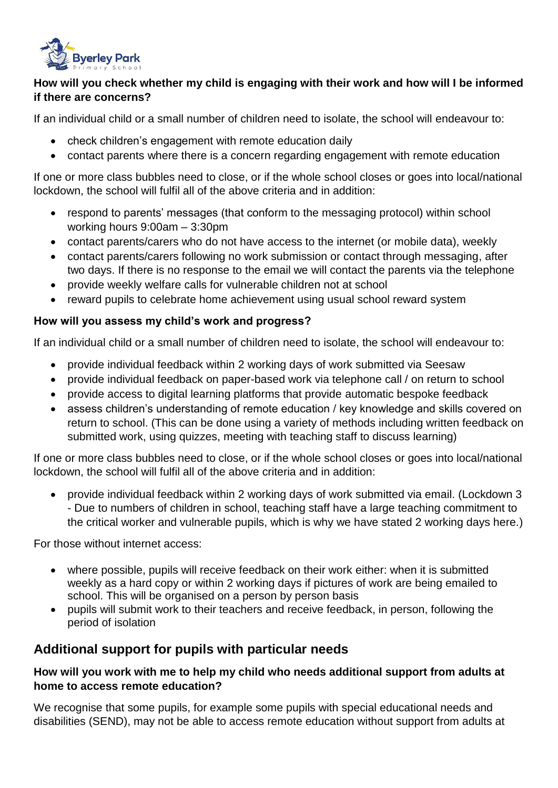

#### **How will you check whether my child is engaging with their work and how will I be informed if there are concerns?**

If an individual child or a small number of children need to isolate, the school will endeavour to:

- check children's engagement with remote education daily
- contact parents where there is a concern regarding engagement with remote education

If one or more class bubbles need to close, or if the whole school closes or goes into local/national lockdown, the school will fulfil all of the above criteria and in addition:

- respond to parents' messages (that conform to the messaging protocol) within school working hours 9:00am – 3:30pm
- contact parents/carers who do not have access to the internet (or mobile data), weekly
- contact parents/carers following no work submission or contact through messaging, after two days. If there is no response to the email we will contact the parents via the telephone
- provide weekly welfare calls for vulnerable children not at school
- reward pupils to celebrate home achievement using usual school reward system

#### **How will you assess my child's work and progress?**

If an individual child or a small number of children need to isolate, the school will endeavour to:

- provide individual feedback within 2 working days of work submitted via Seesaw
- provide individual feedback on paper-based work via telephone call / on return to school
- provide access to digital learning platforms that provide automatic bespoke feedback
- assess children's understanding of remote education / key knowledge and skills covered on return to school. (This can be done using a variety of methods including written feedback on submitted work, using quizzes, meeting with teaching staff to discuss learning)

If one or more class bubbles need to close, or if the whole school closes or goes into local/national lockdown, the school will fulfil all of the above criteria and in addition:

 provide individual feedback within 2 working days of work submitted via email. (Lockdown 3 - Due to numbers of children in school, teaching staff have a large teaching commitment to the critical worker and vulnerable pupils, which is why we have stated 2 working days here.)

For those without internet access:

- where possible, pupils will receive feedback on their work either: when it is submitted weekly as a hard copy or within 2 working days if pictures of work are being emailed to school. This will be organised on a person by person basis
- pupils will submit work to their teachers and receive feedback, in person, following the period of isolation

## **Additional support for pupils with particular needs**

#### **How will you work with me to help my child who needs additional support from adults at home to access remote education?**

We recognise that some pupils, for example some pupils with special educational needs and disabilities (SEND), may not be able to access remote education without support from adults at